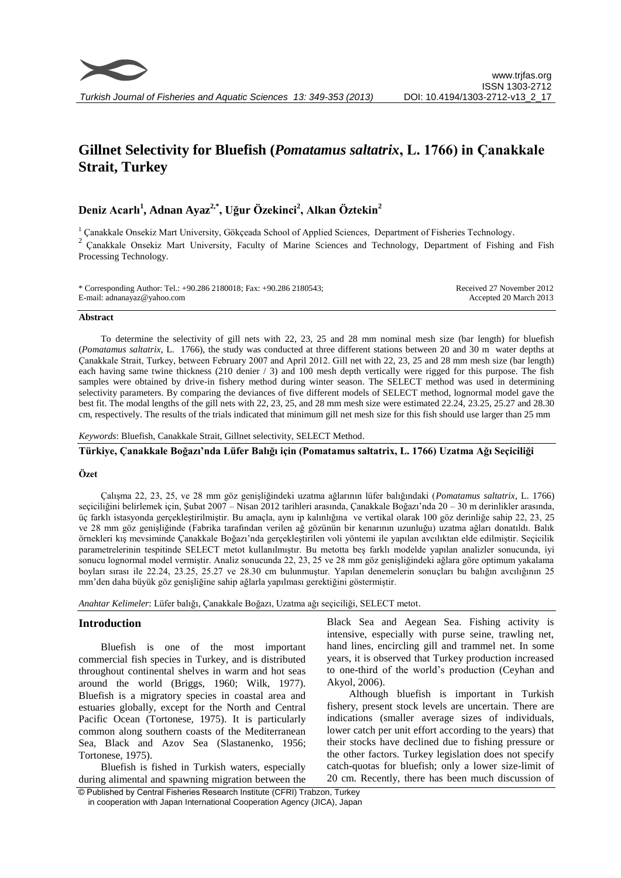# **Gillnet Selectivity for Bluefish (***Pomatamus saltatrix***, L. 1766) in Çanakkale Strait, Turkey**

## **Deniz Acarlı<sup>1</sup> , Adnan Ayaz2,\*, Uğur Özekinci<sup>2</sup> , Alkan Öztekin<sup>2</sup>**

<sup>1</sup> Çanakkale Onsekiz Mart University, Gökçeada School of Applied Sciences, Department of Fisheries Technology.<br><sup>2</sup> Canakkale Onsekiz Mart University, Feculty of Marine Sciences and Technology. Department of Fishing. <sup>2</sup>Çanakkale Onsekiz Mart University, Faculty of Marine Sciences and Technology, Department of Fishing and Fish Processing Technology.

\* Corresponding Author: Tel.: +90.286 2180018; Fax: +90.286 2180543; E-mail: adnanayaz@yahoo.com Received 27 November 2012 Accepted 20 March 2013

#### **Abstract**

To determine the selectivity of gill nets with 22, 23, 25 and 28 mm nominal mesh size (bar length) for bluefish (*Pomatamus saltatrix*, L. 1766), the study was conducted at three different stations between 20 and 30 m water depths at Çanakkale Strait, Turkey, between February 2007 and April 2012. Gill net with 22, 23, 25 and 28 mm mesh size (bar length) each having same twine thickness (210 denier / 3) and 100 mesh depth vertically were rigged for this purpose. The fish samples were obtained by drive-in fishery method during winter season. The SELECT method was used in determining selectivity parameters. By comparing the deviances of five different models of SELECT method, lognormal model gave the best fit. The modal lengths of the gill nets with 22, 23, 25, and 28 mm mesh size were estimated 22.24, 23.25, 25.27 and 28.30 cm, respectively. The results of the trials indicated that minimum gill net mesh size for this fish should use larger than 25 mm

*Keywords*: Bluefish, Canakkale Strait, Gillnet selectivity, SELECT Method.

## **Türkiye, Çanakkale Boğazı'nda Lüfer Balığı için (Pomatamus saltatrix, L. 1766) Uzatma Ağı Seçiciliği**

### **Özet**

Çalışma 22, 23, 25, ve 28 mm göz genişliğindeki uzatma ağlarının lüfer balığındaki (*Pomatamus saltatrix*, L. 1766) seçiciliğini belirlemek için, Şubat 2007 – Nisan 2012 tarihleri arasında, Çanakkale Boğazı'nda 20 – 30 m derinlikler arasında, üç farklı istasyonda gerçekleştirilmiştir. Bu amaçla, aynı ip kalınlığına ve vertikal olarak 100 göz derinliğe sahip 22, 23, 25 ve 28 mm göz genişliğinde (Fabrika tarafından verilen ağ gözünün bir kenarının uzunluğu) uzatma ağları donatıldı. Balık örnekleri kış mevsiminde Çanakkale Boğazı'nda gerçekleştirilen voli yöntemi ile yapılan avcılıktan elde edilmiştir. Seçicilik parametrelerinin tespitinde SELECT metot kullanılmıştır. Bu metotta beş farklı modelde yapılan analizler sonucunda, iyi sonucu lognormal model vermiştir. Analiz sonucunda 22, 23, 25 ve 28 mm göz genişliğindeki ağlara göre optimum yakalama boyları sırası ile 22.24, 23.25, 25.27 ve 28.30 cm bulunmuştur. Yapılan denemelerin sonuçları bu balığın avcılığının 25 mm'den daha büyük göz genişliğine sahip ağlarla yapılması gerektiğini göstermiştir.

*Anahtar Kelimeler*: Lüfer balığı, Çanakkale Boğazı, Uzatma ağı seçiciliği, SELECT metot.

#### **Introduction**

Bluefish is one of the most important commercial fish species in Turkey, and is distributed throughout continental shelves in warm and hot seas around the world (Briggs, 1960; Wilk, 1977). Bluefish is a migratory species in coastal area and estuaries globally, except for the North and Central Pacific Ocean (Tortonese, 1975). It is particularly common along southern coasts of the Mediterranean Sea, Black and Azov Sea (Slastanenko, 1956; Tortonese, 1975).

Bluefish is fished in Turkish waters, especially during alimental and spawning migration between the Black Sea and Aegean Sea. Fishing activity is intensive, especially with purse seine, trawling net, hand lines, encircling gill and trammel net. In some years, it is observed that Turkey production increased to one-third of the world's production (Ceyhan and Akyol, 2006).

Although bluefish is important in Turkish fishery, present stock levels are uncertain. There are indications (smaller average sizes of individuals, lower catch per unit effort according to the years) that their stocks have declined due to fishing pressure or the other factors. Turkey legislation does not specify catch-quotas for bluefish; only a lower size-limit of 20 cm. Recently, there has been much discussion of

© Published by Central Fisheries Research Institute (CFRI) Trabzon, Turkey in cooperation with Japan International Cooperation Agency (JICA), Japan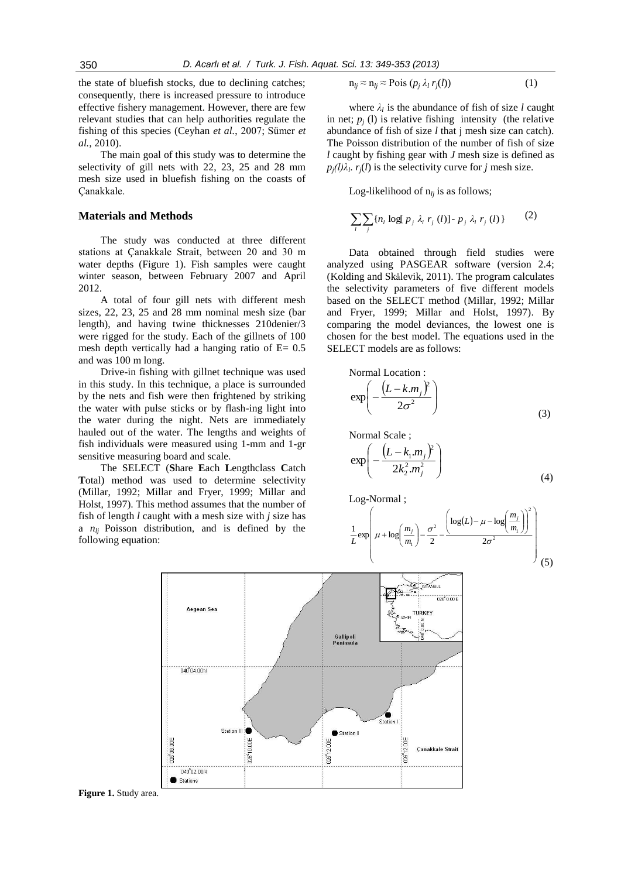the state of bluefish stocks, due to declining catches; consequently, there is increased pressure to introduce effective fishery management. However, there are few relevant studies that can help authorities regulate the fishing of this species (Ceyhan *et al.*, 2007; Sümer *et al.*, 2010).

The main goal of this study was to determine the selectivity of gill nets with 22, 23, 25 and 28 mm mesh size used in bluefish fishing on the coasts of Çanakkale.

#### **Materials and Methods**

The study was conducted at three different stations at Çanakkale Strait, between 20 and 30 m water depths (Figure 1). Fish samples were caught winter season, between February 2007 and April 2012.

A total of four gill nets with different mesh sizes, 22, 23, 25 and 28 mm nominal mesh size (bar length), and having twine thicknesses 210denier/3 were rigged for the study. Each of the gillnets of 100 mesh depth vertically had a hanging ratio of  $E= 0.5$ and was 100 m long.

Drive-in fishing with gillnet technique was used in this study. In this technique, a place is surrounded by the nets and fish were then frightened by striking the water with pulse sticks or by flash-ing light into the water during the night. Nets are immediately hauled out of the water. The lengths and weights of fish individuals were measured using 1-mm and 1-gr sensitive measuring board and scale.

The SELECT (**S**hare **E**ach **L**engthclass **C**atch **T**otal) method was used to determine selectivity (Millar, 1992; Millar and Fryer, 1999; Millar and Holst, 1997). This method assumes that the number of fish of length *l* caught with a mesh size with *j* size has a *nlj* Poisson distribution, and is defined by the following equation:

$$
n_{lj} \approx n_{lj} \approx \text{Pois}(p_j \lambda_l r_j(l)) \tag{1}
$$

where  $\lambda_l$  is the abundance of fish of size *l* caught in net;  $p_j$  (1) is relative fishing intensity (the relative abundance of fish of size *l* that j mesh size can catch). The Poisson distribution of the number of fish of size *l* caught by fishing gear with *J* mesh size is defined as  $p_j(l)\lambda_l$ .  $r_j(l)$  is the selectivity curve for *j* mesh size.

Log-likelihood of  $n_{li}$  is as follows;

$$
\sum_{l} \sum_{j} \{n_l \log[p_j \lambda_l r_j(l)] - p_j \lambda_l r_j(l)\}\qquad (2)
$$

Data obtained through field studies were analyzed using PASGEAR software (version 2.4; (Kolding and Skålevik, 2011). The program calculates the selectivity parameters of five different models based on the SELECT method (Millar, 1992; Millar and Fryer, 1999; Millar and Holst, 1997). By comparing the model deviances, the lowest one is chosen for the best model. The equations used in the SELECT models are as follows:

Normal Location :  
\n
$$
\exp\left(-\frac{\left(L-k.m_j\right)^2}{2\sigma^2}\right)
$$
\n(3)

Normal Scale ;

$$
\exp\left(-\frac{\left(L - k_1.m_j\right)^2}{2k_2^2.m_j^2}\right) \tag{4}
$$

Log-Normal ;

$$
\frac{1}{L}\exp\left(\mu + \log\left(\frac{m_j}{m_1}\right) - \frac{\sigma^2}{2} - \frac{\left(\log(L) - \mu - \log\left(\frac{m_j}{m_1}\right)\right)^2}{2\sigma^2}\right) \tag{5}
$$



**Figure 1.** Study area.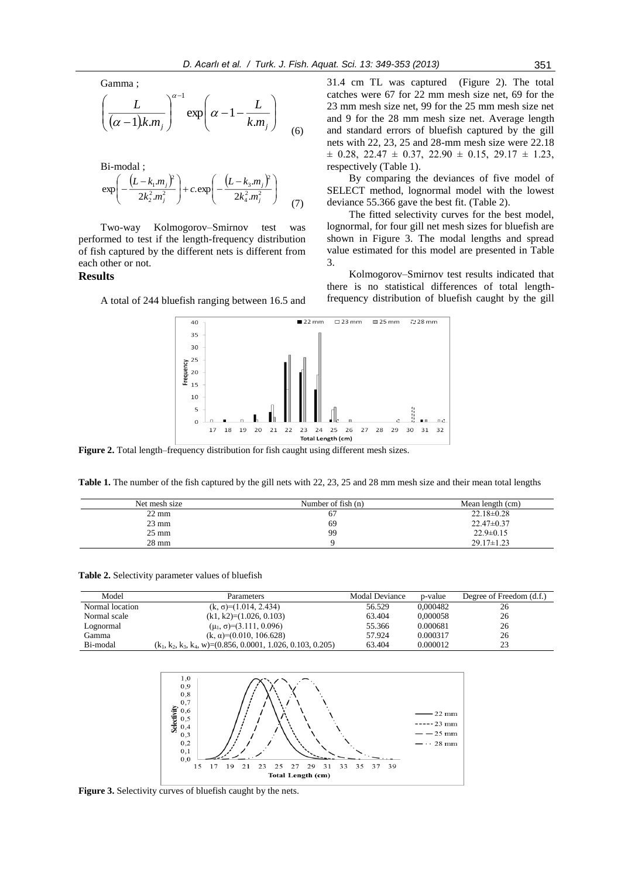Gamma ;

$$
\left(\frac{L}{(\alpha-1)k.m_j}\right)^{\alpha-1} \exp\left(\alpha - 1 - \frac{L}{k.m_j}\right) \tag{6}
$$

Bi-modal ;  $(L - k_1, m_i)^2$   $(L - k_3, m_i)^2$ J λ  $\mathsf{I}$ l  $\frac{\partial}{\partial t} + c \cdot \exp\left(-\frac{(L - \mu)}{2k}\right)$ λ  $\left(-\frac{(L-k_1,m_j)^2}{2k_2^2,m_j^2}\right)+c.\exp\left(-\frac{(L-k_3,m_j)^2}{2k_4^2,m_j^2}\right)$ l  $\left(\frac{k_1.m_j}{2} \right)^2 + c.\exp \left(-\frac{(L-k_3.m_j)^2}{2k_4^2.m_j^2}\right)$  $(m_i)^2$  $2k^2$ .  $\frac{R_1m_j}{2k_2^2m_j^2}$  + c.exp  $-\frac{(2-k_3)^2}{2k_3^2m_j^2}$ exp *j j j j k <sup>m</sup>*  $\left[\frac{k_1 m_j f}{k_2^2 m_i^2}\right] + c \exp\left(-\frac{(L - k_3 m_j)}{2k_1^2 m_j^2}\right]$ *L k <sup>m</sup>* (7)

Two-way Kolmogorov–Smirnov test was performed to test if the length-frequency distribution of fish captured by the different nets is different from each other or not.

## **Results**

A total of 244 bluefish ranging between 16.5 and

31.4 cm TL was captured (Figure 2). The total catches were 67 for 22 mm mesh size net, 69 for the 23 mm mesh size net, 99 for the 25 mm mesh size net and 9 for the 28 mm mesh size net. Average length and standard errors of bluefish captured by the gill nets with 22, 23, 25 and 28-mm mesh size were 22.18  $\pm$  0.28, 22.47  $\pm$  0.37, 22.90  $\pm$  0.15, 29.17  $\pm$  1.23, respectively (Table 1).

By comparing the deviances of five model of SELECT method, lognormal model with the lowest deviance 55.366 gave the best fit. (Table 2).

The fitted selectivity curves for the best model, lognormal, for four gill net mesh sizes for bluefish are shown in Figure 3. The modal lengths and spread value estimated for this model are presented in Table 3.

Kolmogorov–Smirnov test results indicated that there is no statistical differences of total lengthfrequency distribution of bluefish caught by the gill



**Figure 2.** Total length–frequency distribution for fish caught using different mesh sizes.

**Table 1.** The number of the fish captured by the gill nets with 22, 23, 25 and 28 mm mesh size and their mean total lengths

| Net mesh size   | Number of fish $(n)$ | Mean length (cm) |
|-----------------|----------------------|------------------|
| $22 \text{ mm}$ | 07                   | $22.18 \pm 0.28$ |
| $23 \text{ mm}$ | 69                   | $22.47 \pm 0.37$ |
| $25 \text{ mm}$ | 99                   | $22.9 \pm 0.15$  |
| $28 \text{ mm}$ |                      | $29.17 \pm 1.23$ |

**Table 2.** Selectivity parameter values of bluefish

| Model           | <b>Parameters</b>                                                | Modal Deviance | p-value  | Degree of Freedom (d.f.) |
|-----------------|------------------------------------------------------------------|----------------|----------|--------------------------|
| Normal location | $(k, \sigma) = (1.014, 2.434)$                                   | 56.529         | 0.000482 | 26                       |
| Normal scale    | $(k1, k2)=(1.026, 0.103)$                                        | 63.404         | 0.000058 | 26                       |
| Lognormal       | $(\mu_1, \sigma) = (3.111, 0.096)$                               | 55.366         | 0.000681 | 26                       |
| Gamma           | $(k, \alpha) = (0.010, 106.628)$                                 | 57.924         | 0.000317 | 26                       |
| Bi-modal        | $(k_1, k_2, k_3, k_4, w) = (0.856, 0.0001, 1.026, 0.103, 0.205)$ | 63.404         | 0.000012 | 23                       |



**Figure 3.** Selectivity curves of bluefish caught by the nets.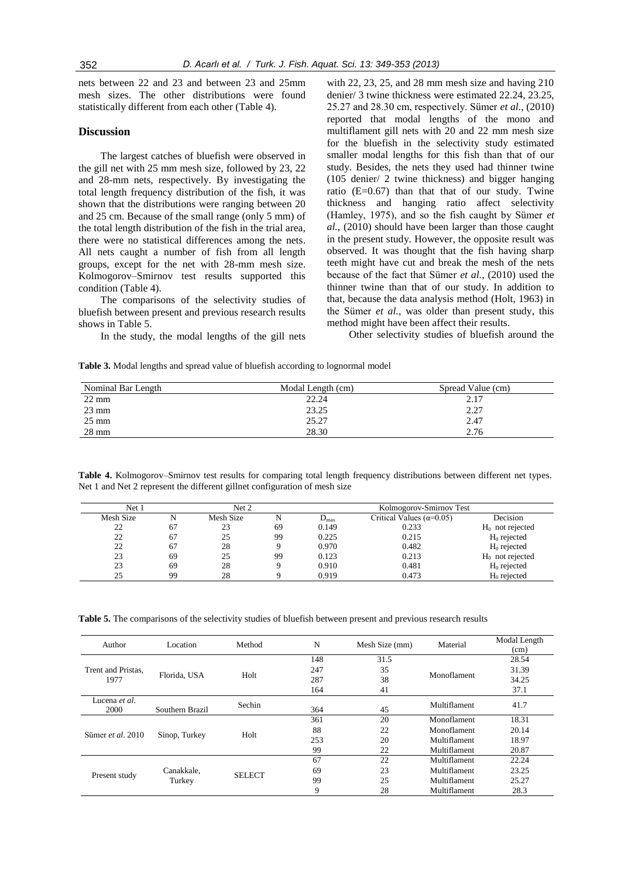nets between 22 and 23 and between 23 and 25mm mesh sizes. The other distributions were found statistically different from each other (Table 4).

#### **Discussion**

The largest catches of bluefish were observed in the gill net with 25 mm mesh size, followed by 23, 22 and 28-mm nets, respectively. By investigating the total length frequency distribution of the fish, it was shown that the distributions were ranging between 20 and 25 cm. Because of the small range (only 5 mm) of the total length distribution of the fish in the trial area, there were no statistical differences among the nets. All nets caught a number of fish from all length groups, except for the net with 28-mm mesh size. Kolmogorov–Smirnov test results supported this condition (Table 4).

The comparisons of the selectivity studies of bluefish between present and previous research results shows in Table 5.

In the study, the modal lengths of the gill nets

with 22, 23, 25, and 28 mm mesh size and having 210 denier/ 3 twine thickness were estimated 22.24, 23.25, 25.27 and 28.30 cm, respectively. Sümer *et al.*, (2010) reported that modal lengths of the mono and multiflament gill nets with 20 and 22 mm mesh size for the bluefish in the selectivity study estimated smaller modal lengths for this fish than that of our study. Besides, the nets they used had thinner twine (105 denier/ 2 twine thickness) and bigger hanging ratio  $(E=0.67)$  than that that of our study. Twine thickness and hanging ratio affect selectivity (Hamley, 1975), and so the fish caught by Sümer *et al.*, (2010) should have been larger than those caught in the present study. However, the opposite result was observed. It was thought that the fish having sharp teeth might have cut and break the mesh of the nets because of the fact that Sümer *et al.*, (2010) used the thinner twine than that of our study. In addition to that, because the data analysis method (Holt, 1963) in the Sümer *et al.*, was older than present study, this method might have been affect their results.

Other selectivity studies of bluefish around the

**Table 3.** Modal lengths and spread value of bluefish according to lognormal model

| Nominal Bar Length | Modal Length (cm) | Spread Value (cm) |
|--------------------|-------------------|-------------------|
| $22 \text{ mm}$    | 22.24             | 2.17              |
| $23 \text{ mm}$    | 23.25             | 2.27              |
| $25 \text{ mm}$    | 25.27             | 2.47              |
| $28 \text{ mm}$    | 28.30             | 2.76              |

**Table 4.** Kolmogorov–Smirnov test results for comparing total length frequency distributions between different net types. Net 1 and Net 2 represent the different gillnet configuration of mesh size

| Net 1     |    | Net 2     |    | Kolmogorov-Smirnov Test |                                   |                    |
|-----------|----|-----------|----|-------------------------|-----------------------------------|--------------------|
| Mesh Size |    | Mesh Size | N  | $D_{\text{max}}$        | Critical Values ( $\alpha$ =0.05) | Decision           |
| 22        | 67 | 23        | 69 | 0.149                   | 0.233                             | $H_0$ not rejected |
| 22        | 67 | 25        | 99 | 0.225                   | 0.215                             | $H_0$ rejected     |
| 22        | 67 | 28        |    | 0.970                   | 0.482                             | $H_0$ rejected     |
| 23        | 69 | 25        | 99 | 0.123                   | 0.213                             | $H_0$ not rejected |
| 23        | 69 | 28        |    | 0.910                   | 0.481                             | $H_0$ rejected     |
| 25        | 99 | 28        |    | 0.919                   | 0.473                             | $H_0$ rejected     |

**Table 5.** The comparisons of the selectivity studies of bluefish between present and previous research results

| Author                       | Location             | Method        | N   | Mesh Size (mm) | Material     | Modal Length<br>(cm) |
|------------------------------|----------------------|---------------|-----|----------------|--------------|----------------------|
| Trent and Pristas.<br>1977   | Florida, USA         | Holt          | 148 | 31.5           |              | 28.54                |
|                              |                      |               | 247 | 35             |              | 31.39                |
|                              |                      |               | 287 | 38             | Monoflament  | 34.25                |
|                              |                      |               | 164 | 41             |              | 37.1                 |
| Lucena <i>et al.</i><br>2000 | Southern Brazil      | Sechin        | 364 | 45             | Multiflament | 41.7                 |
| Sümer et al. 2010            | Sinop, Turkey        |               | 361 | 20             | Monoflament  | 18.31                |
|                              |                      | Holt          | 88  | 22             | Monoflament  | 20.14                |
|                              |                      |               | 253 | 20             | Multiflament | 18.97                |
|                              |                      |               | 99  | 22             | Multiflament | 20.87                |
| Present study                | Canakkale,<br>Turkey | <b>SELECT</b> | 67  | 22             | Multiflament | 22.24                |
|                              |                      |               | 69  | 23             | Multiflament | 23.25                |
|                              |                      |               | 99  | 25             | Multiflament | 25.27                |
|                              |                      |               | 9   | 28             | Multiflament | 28.3                 |